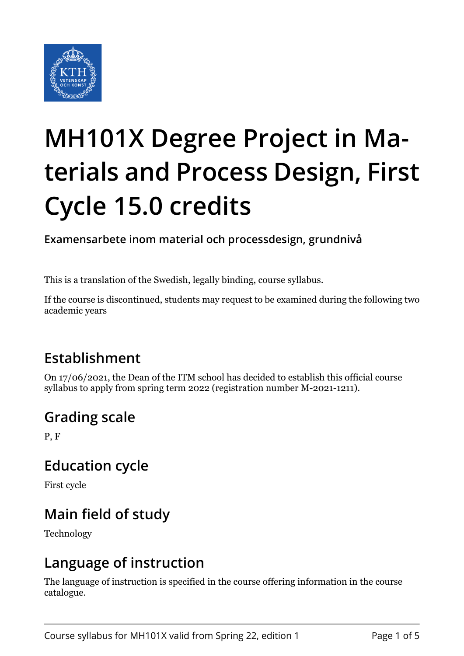

# **MH101X Degree Project in Materials and Process Design, First Cycle 15.0 credits**

**Examensarbete inom material och processdesign, grundnivå**

This is a translation of the Swedish, legally binding, course syllabus.

If the course is discontinued, students may request to be examined during the following two academic years

## **Establishment**

On 17/06/2021, the Dean of the ITM school has decided to establish this official course syllabus to apply from spring term 2022 (registration number M-2021-1211).

#### **Grading scale**

P, F

#### **Education cycle**

First cycle

## **Main field of study**

Technology

#### **Language of instruction**

The language of instruction is specified in the course offering information in the course catalogue.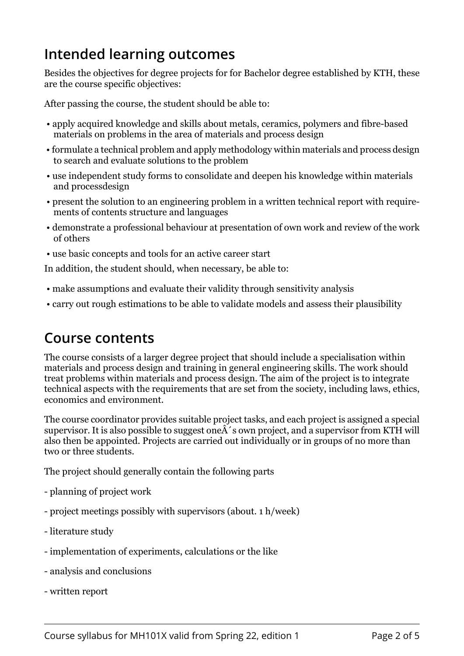## **Intended learning outcomes**

Besides the objectives for degree projects for for Bachelor degree established by KTH, these are the course specific objectives:

After passing the course, the student should be able to:

- apply acquired knowledge and skills about metals, ceramics, polymers and fibre-based materials on problems in the area of materials and process design
- formulate a technical problem and apply methodology within materials and process design to search and evaluate solutions to the problem
- use independent study forms to consolidate and deepen his knowledge within materials and processdesign
- present the solution to an engineering problem in a written technical report with requirements of contents structure and languages
- demonstrate a professional behaviour at presentation of own work and review of the work of others
- use basic concepts and tools for an active career start

In addition, the student should, when necessary, be able to:

- make assumptions and evaluate their validity through sensitivity analysis
- carry out rough estimations to be able to validate models and assess their plausibility

#### **Course contents**

The course consists of a larger degree project that should include a specialisation within materials and process design and training in general engineering skills. The work should treat problems within materials and process design. The aim of the project is to integrate technical aspects with the requirements that are set from the society, including laws, ethics, economics and environment.

The course coordinator provides suitable project tasks, and each project is assigned a special supervisor. It is also possible to suggest one  $\hat{A}$ 's own project, and a supervisor from KTH will also then be appointed. Projects are carried out individually or in groups of no more than two or three students.

The project should generally contain the following parts

- planning of project work
- project meetings possibly with supervisors (about. 1 h/week)
- literature study
- implementation of experiments, calculations or the like
- analysis and conclusions
- written report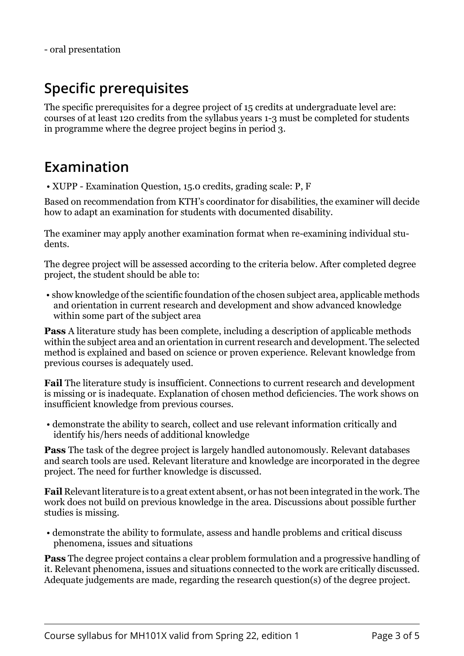## **Specific prerequisites**

The specific prerequisites for a degree project of 15 credits at undergraduate level are: courses of at least 120 credits from the syllabus years 1-3 must be completed for students in programme where the degree project begins in period 3.

#### **Examination**

• XUPP - Examination Question, 15.0 credits, grading scale: P, F

Based on recommendation from KTH's coordinator for disabilities, the examiner will decide how to adapt an examination for students with documented disability.

The examiner may apply another examination format when re-examining individual students.

The degree project will be assessed according to the criteria below. After completed degree project, the student should be able to:

 • show knowledge of the scientific foundation of the chosen subject area, applicable methods and orientation in current research and development and show advanced knowledge within some part of the subject area

**Pass** A literature study has been complete, including a description of applicable methods within the subject area and an orientation in current research and development. The selected method is explained and based on science or proven experience. Relevant knowledge from previous courses is adequately used.

**Fail** The literature study is insufficient. Connections to current research and development is missing or is inadequate. Explanation of chosen method deficiencies. The work shows on insufficient knowledge from previous courses.

 • demonstrate the ability to search, collect and use relevant information critically and identify his/hers needs of additional knowledge

**Pass** The task of the degree project is largely handled autonomously. Relevant databases and search tools are used. Relevant literature and knowledge are incorporated in the degree project. The need for further knowledge is discussed.

**Fail** Relevant literature is to a great extent absent, or has not been integrated in the work. The work does not build on previous knowledge in the area. Discussions about possible further studies is missing.

 • demonstrate the ability to formulate, assess and handle problems and critical discuss phenomena, issues and situations

**Pass** The degree project contains a clear problem formulation and a progressive handling of it. Relevant phenomena, issues and situations connected to the work are critically discussed. Adequate judgements are made, regarding the research question(s) of the degree project.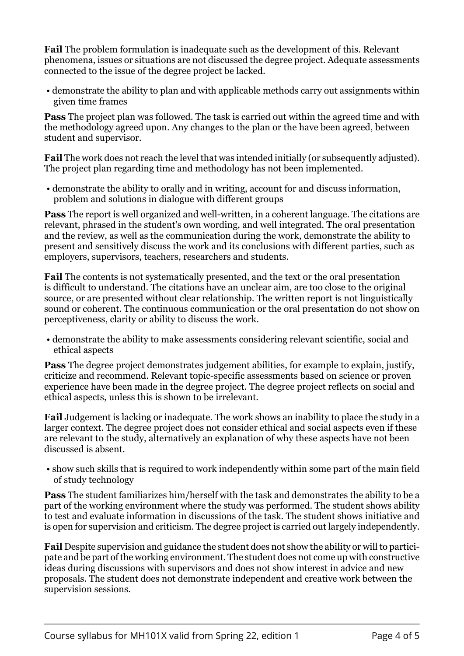**Fail** The problem formulation is inadequate such as the development of this. Relevant phenomena, issues or situations are not discussed the degree project. Adequate assessments connected to the issue of the degree project be lacked.

 • demonstrate the ability to plan and with applicable methods carry out assignments within given time frames

**Pass** The project plan was followed. The task is carried out within the agreed time and with the methodology agreed upon. Any changes to the plan or the have been agreed, between student and supervisor.

**Fail** The work does not reach the level that was intended initially (or subsequently adjusted). The project plan regarding time and methodology has not been implemented.

 • demonstrate the ability to orally and in writing, account for and discuss information, problem and solutions in dialogue with different groups

**Pass** The report is well organized and well-written, in a coherent language. The citations are relevant, phrased in the student's own wording, and well integrated. The oral presentation and the review, as well as the communication during the work, demonstrate the ability to present and sensitively discuss the work and its conclusions with different parties, such as employers, supervisors, teachers, researchers and students.

**Fail** The contents is not systematically presented, and the text or the oral presentation is difficult to understand. The citations have an unclear aim, are too close to the original source, or are presented without clear relationship. The written report is not linguistically sound or coherent. The continuous communication or the oral presentation do not show on perceptiveness, clarity or ability to discuss the work.

 • demonstrate the ability to make assessments considering relevant scientific, social and ethical aspects

**Pass** The degree project demonstrates judgement abilities, for example to explain, justify, criticize and recommend. Relevant topic-specific assessments based on science or proven experience have been made in the degree project. The degree project reflects on social and ethical aspects, unless this is shown to be irrelevant.

**Fail** Judgement is lacking or inadequate. The work shows an inability to place the study in a larger context. The degree project does not consider ethical and social aspects even if these are relevant to the study, alternatively an explanation of why these aspects have not been discussed is absent.

 • show such skills that is required to work independently within some part of the main field of study technology

**Pass** The student familiarizes him/herself with the task and demonstrates the ability to be a part of the working environment where the study was performed. The student shows ability to test and evaluate information in discussions of the task. The student shows initiative and is open for supervision and criticism. The degree project is carried out largely independently.

**Fail** Despite supervision and guidance the student does not show the ability or will to participate and be part of the working environment. The student does not come up with constructive ideas during discussions with supervisors and does not show interest in advice and new proposals. The student does not demonstrate independent and creative work between the supervision sessions.